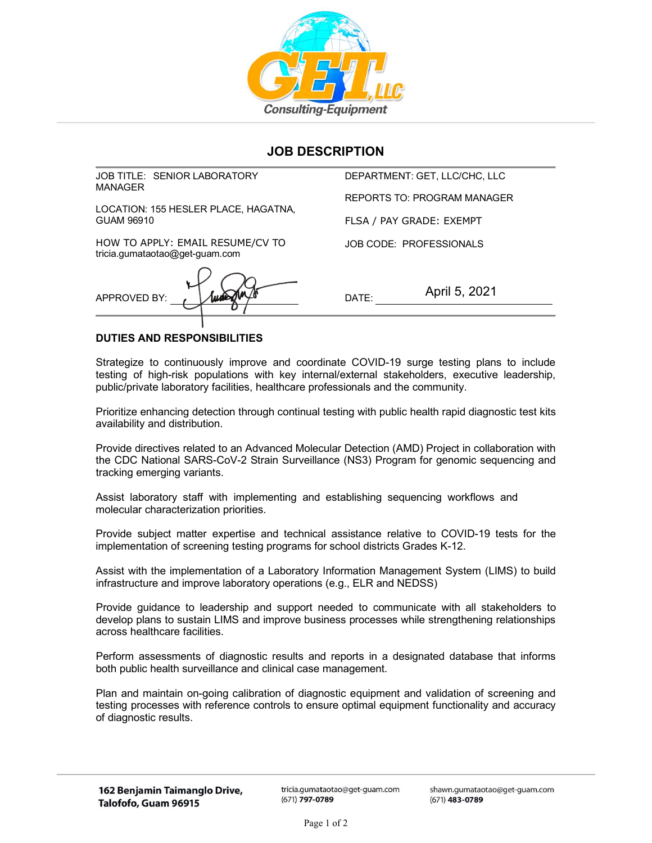

## **JOB DESCRIPTION**

JOB TITLE: SENIOR LABORATORY MANAGER

LOCATION: 155 HESLER PLACE, HAGATNA, GUAM 96910

HOW TO APPLY: EMAIL RESUME/CV TO tricia.gumataotao@get-guam.com

APPROVED BY: DATE:

DEPARTMENT: GET, LLC/CHC, LLC REPORTS TO: PROGRAM MANAGER

FLSA / PAY GRADE: EXEMPT

JOB CODE: PROFESSIONALS

April 5, 2021

## **DUTIES AND RESPONSIBILITIES**

Strategize to continuously improve and coordinate COVID-19 surge testing plans to include testing of high-risk populations with key internal/external stakeholders, executive leadership, public/private laboratory facilities, healthcare professionals and the community.

Prioritize enhancing detection through continual testing with public health rapid diagnostic test kits availability and distribution.

Provide directives related to an Advanced Molecular Detection (AMD) Project in collaboration with the CDC National SARS-CoV-2 Strain Surveillance (NS3) Program for genomic sequencing and tracking emerging variants.

Assist laboratory staff with implementing and establishing sequencing workflows and molecular characterization priorities.

Provide subject matter expertise and technical assistance relative to COVID-19 tests for the implementation of screening testing programs for school districts Grades K-12.

Assist with the implementation of a Laboratory Information Management System (LIMS) to build infrastructure and improve laboratory operations (e.g., ELR and NEDSS)

Provide guidance to leadership and support needed to communicate with all stakeholders to develop plans to sustain LIMS and improve business processes while strengthening relationships across healthcare facilities.

Perform assessments of diagnostic results and reports in a designated database that informs both public health surveillance and clinical case management.

Plan and maintain on-going calibration of diagnostic equipment and validation of screening and testing processes with reference controls to ensure optimal equipment functionality and accuracy of diagnostic results.